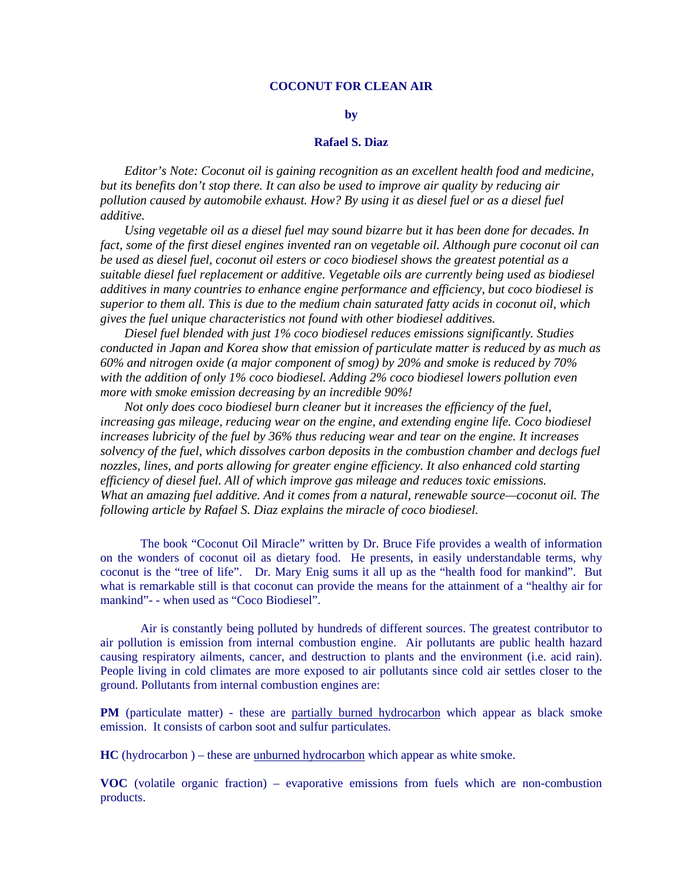# **COCONUT FOR CLEAN AIR**

#### **by**

## **Rafael S. Diaz**

*Editor's Note: Coconut oil is gaining recognition as an excellent health food and medicine, but its benefits don't stop there. It can also be used to improve air quality by reducing air pollution caused by automobile exhaust. How? By using it as diesel fuel or as a diesel fuel additive.* 

*Using vegetable oil as a diesel fuel may sound bizarre but it has been done for decades. In fact, some of the first diesel engines invented ran on vegetable oil. Although pure coconut oil can be used as diesel fuel, coconut oil esters or coco biodiesel shows the greatest potential as a suitable diesel fuel replacement or additive. Vegetable oils are currently being used as biodiesel additives in many countries to enhance engine performance and efficiency, but coco biodiesel is superior to them all. This is due to the medium chain saturated fatty acids in coconut oil, which gives the fuel unique characteristics not found with other biodiesel additives.* 

*Diesel fuel blended with just 1% coco biodiesel reduces emissions significantly. Studies conducted in Japan and Korea show that emission of particulate matter is reduced by as much as 60% and nitrogen oxide (a major component of smog) by 20% and smoke is reduced by 70% with the addition of only 1% coco biodiesel. Adding 2% coco biodiesel lowers pollution even more with smoke emission decreasing by an incredible 90%!* 

*Not only does coco biodiesel burn cleaner but it increases the efficiency of the fuel, increasing gas mileage, reducing wear on the engine, and extending engine life. Coco biodiesel increases lubricity of the fuel by 36% thus reducing wear and tear on the engine. It increases solvency of the fuel, which dissolves carbon deposits in the combustion chamber and declogs fuel nozzles, lines, and ports allowing for greater engine efficiency. It also enhanced cold starting efficiency of diesel fuel. All of which improve gas mileage and reduces toxic emissions. What an amazing fuel additive. And it comes from a natural, renewable source—coconut oil. The following article by Rafael S. Diaz explains the miracle of coco biodiesel.* 

 The book "Coconut Oil Miracle" written by Dr. Bruce Fife provides a wealth of information on the wonders of coconut oil as dietary food. He presents, in easily understandable terms, why coconut is the "tree of life". Dr. Mary Enig sums it all up as the "health food for mankind". But what is remarkable still is that coconut can provide the means for the attainment of a "healthy air for mankind"- - when used as "Coco Biodiesel".

 Air is constantly being polluted by hundreds of different sources. The greatest contributor to air pollution is emission from internal combustion engine. Air pollutants are public health hazard causing respiratory ailments, cancer, and destruction to plants and the environment (i.e. acid rain). People living in cold climates are more exposed to air pollutants since cold air settles closer to the ground. Pollutants from internal combustion engines are:

**PM** (particulate matter) - these are partially burned hydrocarbon which appear as black smoke emission. It consists of carbon soot and sulfur particulates.

**HC** (hydrocarbon ) – these are unburned hydrocarbon which appear as white smoke.

**VOC** (volatile organic fraction) – evaporative emissions from fuels which are non-combustion products.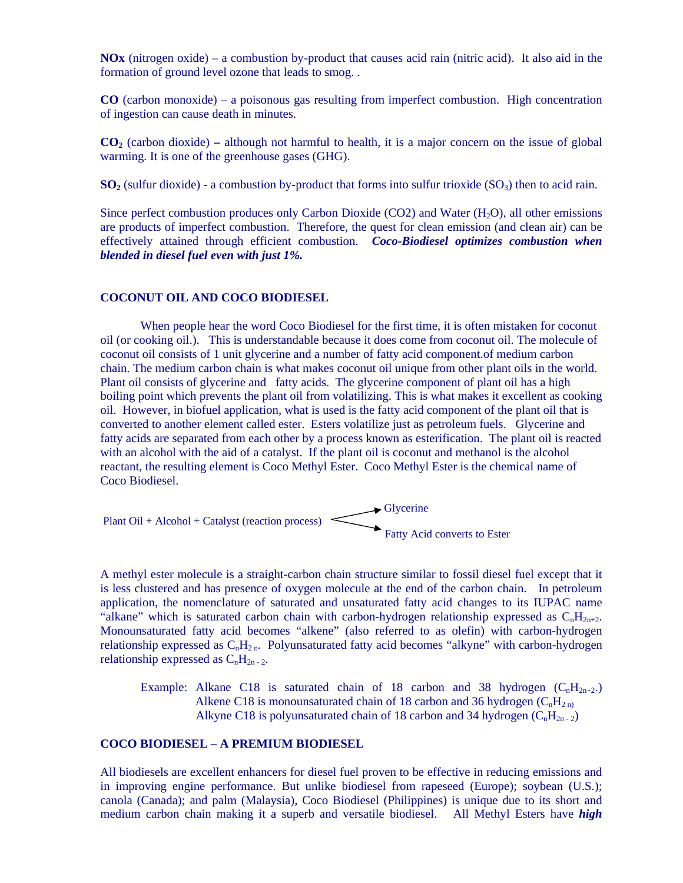**NOx** (nitrogen oxide) – a combustion by-product that causes acid rain (nitric acid). It also aid in the formation of ground level ozone that leads to smog. .

**CO** (carbon monoxide) – a poisonous gas resulting from imperfect combustion. High concentration of ingestion can cause death in minutes.

**CO2** (carbon dioxide) **–** although not harmful to health, it is a major concern on the issue of global warming. It is one of the greenhouse gases (GHG).

 $SO_2$  (sulfur dioxide) - a combustion by-product that forms into sulfur trioxide ( $SO_3$ ) then to acid rain.

Since perfect combustion produces only Carbon Dioxide (CO2) and Water  $(H_2O)$ , all other emissions are products of imperfect combustion. Therefore, the quest for clean emission (and clean air) can be effectively attained through efficient combustion. *Coco-Biodiesel optimizes combustion when blended in diesel fuel even with just 1%.* 

## **COCONUT OIL AND COCO BIODIESEL**

 When people hear the word Coco Biodiesel for the first time, it is often mistaken for coconut oil (or cooking oil.). This is understandable because it does come from coconut oil. The molecule of coconut oil consists of 1 unit glycerine and a number of fatty acid component.of medium carbon chain. The medium carbon chain is what makes coconut oil unique from other plant oils in the world. Plant oil consists of glycerine and fatty acids. The glycerine component of plant oil has a high boiling point which prevents the plant oil from volatilizing. This is what makes it excellent as cooking oil. However, in biofuel application, what is used is the fatty acid component of the plant oil that is converted to another element called ester. Esters volatilize just as petroleum fuels. Glycerine and fatty acids are separated from each other by a process known as esterification. The plant oil is reacted with an alcohol with the aid of a catalyst. If the plant oil is coconut and methanol is the alcohol reactant, the resulting element is Coco Methyl Ester. Coco Methyl Ester is the chemical name of Coco Biodiesel.



A methyl ester molecule is a straight-carbon chain structure similar to fossil diesel fuel except that it is less clustered and has presence of oxygen molecule at the end of the carbon chain. In petroleum application, the nomenclature of saturated and unsaturated fatty acid changes to its IUPAC name "alkane" which is saturated carbon chain with carbon-hydrogen relationship expressed as  $C_nH_{2n+2}$ . Monounsaturated fatty acid becomes "alkene" (also referred to as olefin) with carbon-hydrogen relationship expressed as  $C_nH_{2n}$ . Polyunsaturated fatty acid becomes "alkyne" with carbon-hydrogen relationship expressed as  $C_nH_{2n-2}$ .

Example: Alkane C18 is saturated chain of 18 carbon and 38 hydrogen  $(C_nH_{2n+2})$ . Alkene C18 is monounsaturated chain of 18 carbon and 36 hydrogen  $(C_nH_{2n})$ Alkyne C18 is polyunsaturated chain of 18 carbon and 34 hydrogen  $(C_nH_{2n-2})$ 

# **COCO BIODIESEL – A PREMIUM BIODIESEL**

All biodiesels are excellent enhancers for diesel fuel proven to be effective in reducing emissions and in improving engine performance. But unlike biodiesel from rapeseed (Europe); soybean (U.S.); canola (Canada); and palm (Malaysia), Coco Biodiesel (Philippines) is unique due to its short and medium carbon chain making it a superb and versatile biodiesel. All Methyl Esters have *high*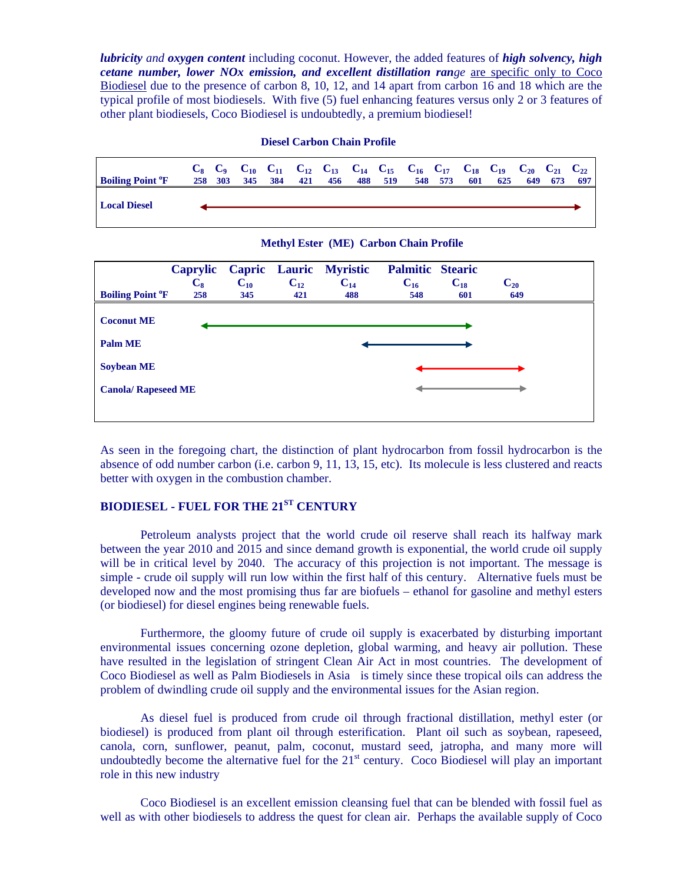*lubricity and oxygen content* including coconut. However, the added features of *high solvency, high cetane number, lower NOx emission, and excellent distillation range* are specific only to Coco Biodiesel due to the presence of carbon 8, 10, 12, and 14 apart from carbon 16 and 18 which are the typical profile of most biodiesels. With five (5) fuel enhancing features versus only 2 or 3 features of other plant biodiesels, Coco Biodiesel is undoubtedly, a premium biodiesel!

#### **Diesel Carbon Chain Profile**

| <b>Boiling Point <sup>o</sup>F</b> | 258 303 | 345 | 384 | 421 | 456 | 488 | 519 | 548 | 573 | 601 | $C_8$ $C_9$ $C_{10}$ $C_{11}$ $C_{12}$ $C_{13}$ $C_{14}$ $C_{15}$ $C_{16}$ $C_{17}$ $C_{18}$ $C_{19}$ $C_{20}$ $C_{21}$ $C_{22}$<br>625 | 649 | 697 |
|------------------------------------|---------|-----|-----|-----|-----|-----|-----|-----|-----|-----|-----------------------------------------------------------------------------------------------------------------------------------------|-----|-----|
| <b>Local Diesel</b>                |         |     |     |     |     |     |     |     |     |     |                                                                                                                                         |     |     |

# **Methyl Ester (ME) Carbon Chain Profile**

|                                     | Caprylic       |          |          | Capric Lauric Myristic | <b>Palmitic Stearic</b> |          |          |  |
|-------------------------------------|----------------|----------|----------|------------------------|-------------------------|----------|----------|--|
|                                     | $\mathbf{C}_8$ | $C_{10}$ | $C_{12}$ | $C_{14}$               | $C_{16}$                | $C_{18}$ | $C_{20}$ |  |
| <b>Boiling Point <sup>o</sup>F</b>  | 258            | 345      | 421      | 488                    | 548                     | 601      | 649      |  |
| <b>Coconut ME</b><br><b>Palm ME</b> |                |          |          |                        |                         |          |          |  |
| <b>Soybean ME</b>                   |                |          |          |                        |                         |          |          |  |
| <b>Canola/ Rapeseed ME</b>          |                |          |          |                        |                         |          |          |  |
|                                     |                |          |          |                        |                         |          |          |  |

As seen in the foregoing chart, the distinction of plant hydrocarbon from fossil hydrocarbon is the absence of odd number carbon (i.e. carbon 9, 11, 13, 15, etc). Its molecule is less clustered and reacts better with oxygen in the combustion chamber.

# **BIODIESEL - FUEL FOR THE 21ST CENTURY**

 Petroleum analysts project that the world crude oil reserve shall reach its halfway mark between the year 2010 and 2015 and since demand growth is exponential, the world crude oil supply will be in critical level by 2040. The accuracy of this projection is not important. The message is simple - crude oil supply will run low within the first half of this century. Alternative fuels must be developed now and the most promising thus far are biofuels – ethanol for gasoline and methyl esters (or biodiesel) for diesel engines being renewable fuels.

 Furthermore, the gloomy future of crude oil supply is exacerbated by disturbing important environmental issues concerning ozone depletion, global warming, and heavy air pollution. These have resulted in the legislation of stringent Clean Air Act in most countries. The development of Coco Biodiesel as well as Palm Biodiesels in Asia is timely since these tropical oils can address the problem of dwindling crude oil supply and the environmental issues for the Asian region.

 As diesel fuel is produced from crude oil through fractional distillation, methyl ester (or biodiesel) is produced from plant oil through esterification. Plant oil such as soybean, rapeseed, canola, corn, sunflower, peanut, palm, coconut, mustard seed, jatropha, and many more will undoubtedly become the alternative fuel for the  $21<sup>st</sup>$  century. Coco Biodiesel will play an important role in this new industry

 Coco Biodiesel is an excellent emission cleansing fuel that can be blended with fossil fuel as well as with other biodiesels to address the quest for clean air. Perhaps the available supply of Coco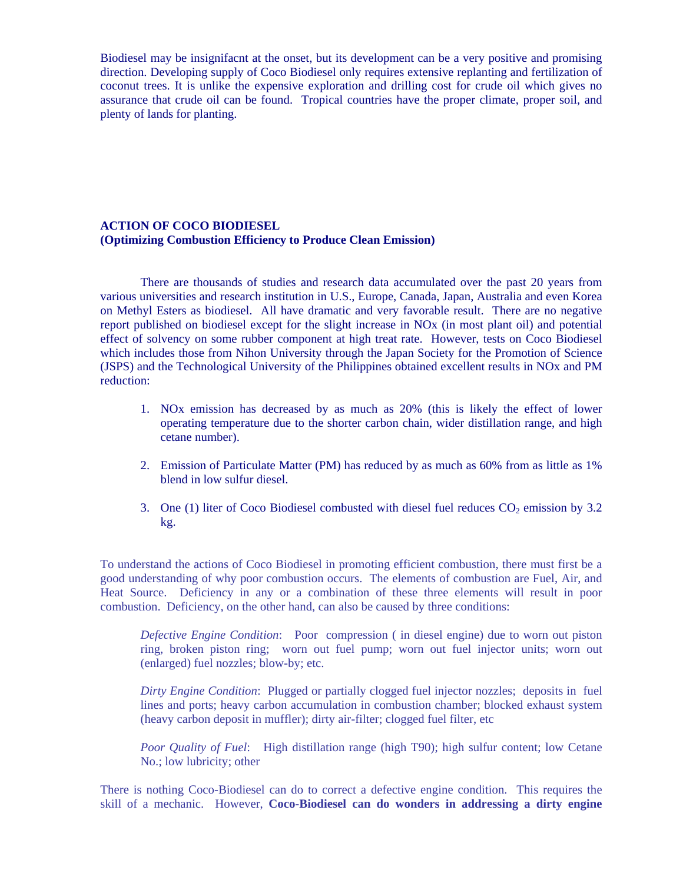Biodiesel may be insignifacnt at the onset, but its development can be a very positive and promising direction. Developing supply of Coco Biodiesel only requires extensive replanting and fertilization of coconut trees. It is unlike the expensive exploration and drilling cost for crude oil which gives no assurance that crude oil can be found. Tropical countries have the proper climate, proper soil, and plenty of lands for planting.

# **ACTION OF COCO BIODIESEL (Optimizing Combustion Efficiency to Produce Clean Emission)**

 There are thousands of studies and research data accumulated over the past 20 years from various universities and research institution in U.S., Europe, Canada, Japan, Australia and even Korea on Methyl Esters as biodiesel. All have dramatic and very favorable result. There are no negative report published on biodiesel except for the slight increase in NOx (in most plant oil) and potential effect of solvency on some rubber component at high treat rate. However, tests on Coco Biodiesel which includes those from Nihon University through the Japan Society for the Promotion of Science (JSPS) and the Technological University of the Philippines obtained excellent results in NOx and PM reduction:

- 1. NOx emission has decreased by as much as 20% (this is likely the effect of lower operating temperature due to the shorter carbon chain, wider distillation range, and high cetane number).
- 2. Emission of Particulate Matter (PM) has reduced by as much as 60% from as little as 1% blend in low sulfur diesel.
- 3. One (1) liter of Coco Biodiesel combusted with diesel fuel reduces  $CO<sub>2</sub>$  emission by 3.2 kg.

To understand the actions of Coco Biodiesel in promoting efficient combustion, there must first be a good understanding of why poor combustion occurs. The elements of combustion are Fuel, Air, and Heat Source. Deficiency in any or a combination of these three elements will result in poor combustion. Deficiency, on the other hand, can also be caused by three conditions:

*Defective Engine Condition*: Poor compression ( in diesel engine) due to worn out piston ring, broken piston ring; worn out fuel pump; worn out fuel injector units; worn out (enlarged) fuel nozzles; blow-by; etc.

*Dirty Engine Condition*: Plugged or partially clogged fuel injector nozzles; deposits in fuel lines and ports; heavy carbon accumulation in combustion chamber; blocked exhaust system (heavy carbon deposit in muffler); dirty air-filter; clogged fuel filter, etc

*Poor Quality of Fuel*: High distillation range (high T90); high sulfur content; low Cetane No.; low lubricity; other

There is nothing Coco-Biodiesel can do to correct a defective engine condition. This requires the skill of a mechanic. However, **Coco-Biodiesel can do wonders in addressing a dirty engine**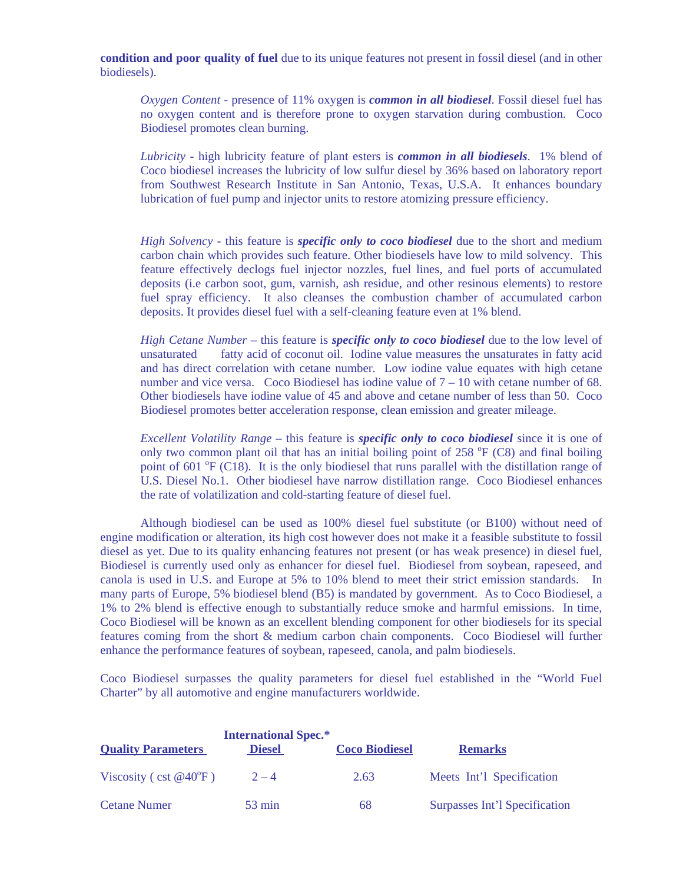**condition and poor quality of fuel** due to its unique features not present in fossil diesel (and in other biodiesels).

*Oxygen Content* - presence of 11% oxygen is *common in all biodiesel*. Fossil diesel fuel has no oxygen content and is therefore prone to oxygen starvation during combustion. Coco Biodiesel promotes clean burning.

*Lubricity* - high lubricity feature of plant esters is *common in all biodiesels*. 1% blend of Coco biodiesel increases the lubricity of low sulfur diesel by 36% based on laboratory report from Southwest Research Institute in San Antonio, Texas, U.S.A. It enhances boundary lubrication of fuel pump and injector units to restore atomizing pressure efficiency.

*High Solvency* - this feature is *specific only to coco biodiesel* due to the short and medium carbon chain which provides such feature. Other biodiesels have low to mild solvency. This feature effectively declogs fuel injector nozzles, fuel lines, and fuel ports of accumulated deposits (i.e carbon soot, gum, varnish, ash residue, and other resinous elements) to restore fuel spray efficiency. It also cleanses the combustion chamber of accumulated carbon deposits. It provides diesel fuel with a self-cleaning feature even at 1% blend.

*High Cetane Number* – this feature is *specific only to coco biodiesel* due to the low level of unsaturated fatty acid of coconut oil. Iodine value measures the unsaturates in fatty acid and has direct correlation with cetane number. Low iodine value equates with high cetane number and vice versa. Coco Biodiesel has iodine value of  $7 - 10$  with cetane number of 68. Other biodiesels have iodine value of 45 and above and cetane number of less than 50. Coco Biodiesel promotes better acceleration response, clean emission and greater mileage.

*Excellent Volatility Range* – this feature is *specific only to coco biodiesel* since it is one of only two common plant oil that has an initial boiling point of  $258 \text{ °F}$  (C8) and final boiling point of 601 °F (C18). It is the only biodiesel that runs parallel with the distillation range of U.S. Diesel No.1. Other biodiesel have narrow distillation range. Coco Biodiesel enhances the rate of volatilization and cold-starting feature of diesel fuel.

 Although biodiesel can be used as 100% diesel fuel substitute (or B100) without need of engine modification or alteration, its high cost however does not make it a feasible substitute to fossil diesel as yet. Due to its quality enhancing features not present (or has weak presence) in diesel fuel, Biodiesel is currently used only as enhancer for diesel fuel. Biodiesel from soybean, rapeseed, and canola is used in U.S. and Europe at 5% to 10% blend to meet their strict emission standards. In many parts of Europe, 5% biodiesel blend (B5) is mandated by government. As to Coco Biodiesel, a 1% to 2% blend is effective enough to substantially reduce smoke and harmful emissions. In time, Coco Biodiesel will be known as an excellent blending component for other biodiesels for its special features coming from the short & medium carbon chain components. Coco Biodiesel will further enhance the performance features of soybean, rapeseed, canola, and palm biodiesels.

Coco Biodiesel surpasses the quality parameters for diesel fuel established in the "World Fuel Charter" by all automotive and engine manufacturers worldwide.

| <b>Quality Parameters</b>       | <b>International Spec.*</b><br><b>Diesel</b> | <b>Coco Biodiesel</b> | <b>Remarks</b>                |
|---------------------------------|----------------------------------------------|-----------------------|-------------------------------|
| Viscosity (cst $@40^{\circ}F$ ) | $2 - 4$                                      | 2.63                  | Meets Int'l Specification     |
| <b>Cetane Numer</b>             | $53 \text{ min}$                             | 68                    | Surpasses Int'l Specification |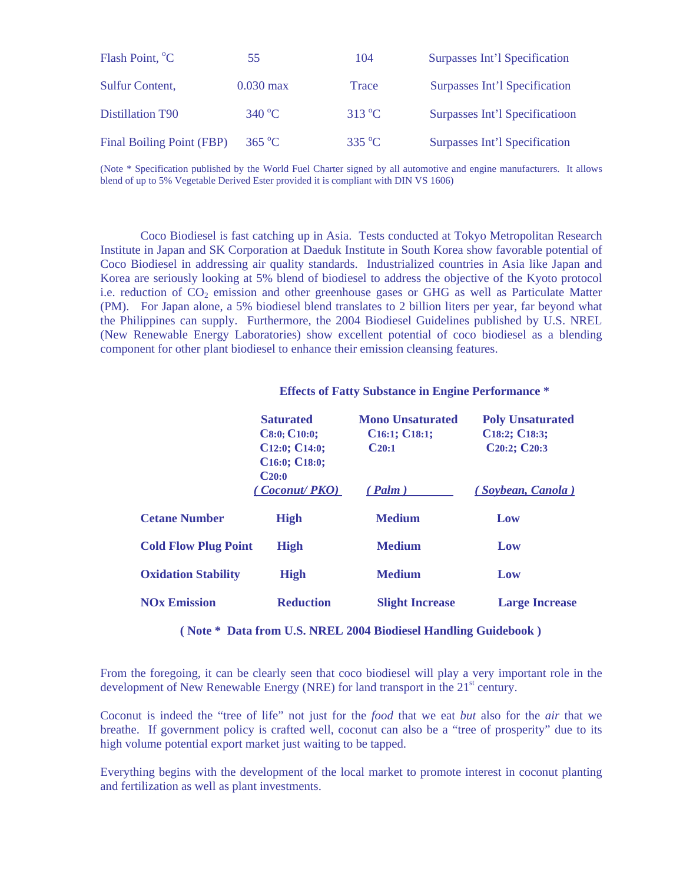| Flash Point, <sup>o</sup> C | 55                     | 104               | Surpasses Int'l Specification |
|-----------------------------|------------------------|-------------------|-------------------------------|
| <b>Sulfur Content,</b>      | $0.030 \,\mathrm{max}$ | Trace             | Surpasses Int'l Specification |
| Distillation T90            | $340^{\circ}$ C        | $313\,^{\circ}$ C | Surpasses Int'l Specification |
| Final Boiling Point (FBP)   | $365\text{ °C}$        | $335 \text{ °C}$  | Surpasses Int'l Specification |

(Note \* Specification published by the World Fuel Charter signed by all automotive and engine manufacturers. It allows blend of up to 5% Vegetable Derived Ester provided it is compliant with DIN VS 1606)

 Coco Biodiesel is fast catching up in Asia. Tests conducted at Tokyo Metropolitan Research Institute in Japan and SK Corporation at Daeduk Institute in South Korea show favorable potential of Coco Biodiesel in addressing air quality standards. Industrialized countries in Asia like Japan and Korea are seriously looking at 5% blend of biodiesel to address the objective of the Kyoto protocol i.e. reduction of  $CO<sub>2</sub>$  emission and other greenhouse gases or GHG as well as Particulate Matter (PM). For Japan alone, a 5% biodiesel blend translates to 2 billion liters per year, far beyond what the Philippines can supply. Furthermore, the 2004 Biodiesel Guidelines published by U.S. NREL (New Renewable Energy Laboratories) show excellent potential of coco biodiesel as a blending component for other plant biodiesel to enhance their emission cleansing features.

|                                | <b>Saturated</b><br>C8:0; C10:0;<br>C12:0; C14:0;<br>C <sub>16</sub> :0; C <sub>18</sub> :0;<br>$C_{20:0}$ | <b>Mono Unsaturated</b><br>C <sub>16:1</sub> ; C <sub>18:1</sub> ;<br>$C_{20:1}$ | <b>Poly Unsaturated</b><br>C18:2; C18:3;<br>C20:2; C20:3 |
|--------------------------------|------------------------------------------------------------------------------------------------------------|----------------------------------------------------------------------------------|----------------------------------------------------------|
|                                | (Coconut/PKO)                                                                                              | $($ Palm $)$                                                                     | (Soybean, Canola)                                        |
| <b>Cetane Number</b>           | <b>High</b>                                                                                                | <b>Medium</b>                                                                    | Low                                                      |
| <b>Cold Flow Plug Point</b>    | <b>High</b>                                                                                                | <b>Medium</b>                                                                    | Low                                                      |
| <b>Oxidation Stability</b>     | <b>High</b>                                                                                                | <b>Medium</b>                                                                    | Low                                                      |
| <b>NO<sub>x</sub></b> Emission | <b>Reduction</b>                                                                                           | <b>Slight Increase</b>                                                           | <b>Large Increase</b>                                    |

### **Effects of Fatty Substance in Engine Performance \***

 **( Note \* Data from U.S. NREL 2004 Biodiesel Handling Guidebook )** 

From the foregoing, it can be clearly seen that coco biodiesel will play a very important role in the development of New Renewable Energy (NRE) for land transport in the  $21<sup>st</sup>$  century.

Coconut is indeed the "tree of life" not just for the *food* that we eat *but* also for the *air* that we breathe. If government policy is crafted well, coconut can also be a "tree of prosperity" due to its high volume potential export market just waiting to be tapped.

Everything begins with the development of the local market to promote interest in coconut planting and fertilization as well as plant investments.